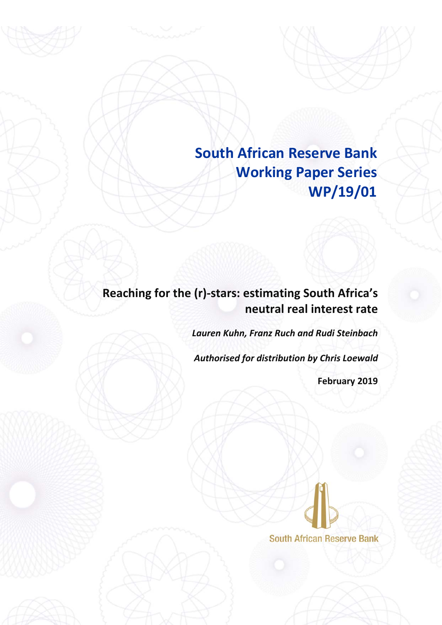**South African Reserve Bank Working Paper Series WP/19/01**

# **Reaching for the (r)‐stars: estimating South Africa's neutral real interest rate**

*Lauren Kuhn, Franz Ruch and Rudi Steinbach*

*Authorised for distribution by Chris Loewald*

**February 2019**

**South African Reserve Bank**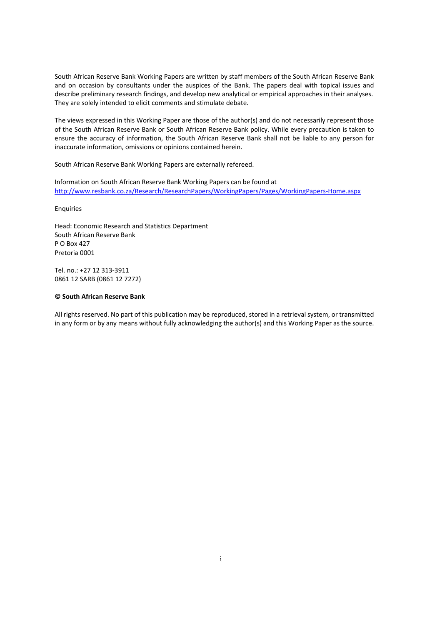South African Reserve Bank Working Papers are written by staff members of the South African Reserve Bank and on occasion by consultants under the auspices of the Bank. The papers deal with topical issues and describe preliminary research findings, and develop new analytical or empirical approaches in their analyses. They are solely intended to elicit comments and stimulate debate.

The views expressed in this Working Paper are those of the author(s) and do not necessarily represent those of the South African Reserve Bank or South African Reserve Bank policy. While every precaution is taken to ensure the accuracy of information, the South African Reserve Bank shall not be liable to any person for inaccurate information, omissions or opinions contained herein.

South African Reserve Bank Working Papers are externally refereed.

Information on South African Reserve Bank Working Papers can be found at http://www.resbank.co.za/Research/ResearchPapers/WorkingPapers/Pages/WorkingPapers‐Home.aspx

Enquiries

Head: Economic Research and Statistics Department South African Reserve Bank P O Box 427 Pretoria 0001

Tel. no.: +27 12 313‐3911 0861 12 SARB (0861 12 7272)

#### **© South African Reserve Bank**

All rights reserved. No part of this publication may be reproduced, stored in a retrieval system, or transmitted in any form or by any means without fully acknowledging the author(s) and this Working Paper as the source.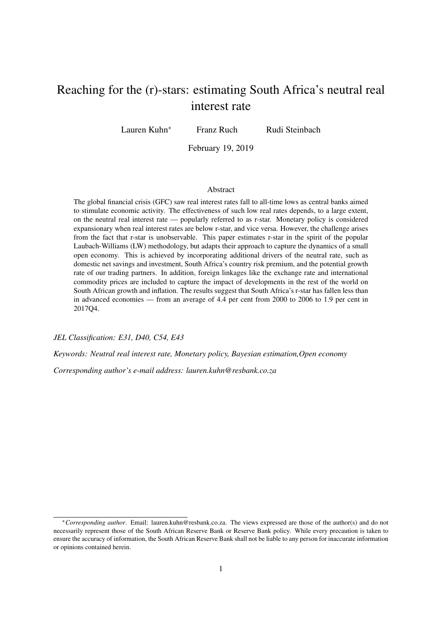# Reaching for the (r)-stars: estimating South Africa's neutral real interest rate

Lauren Kuhn<sup>∗</sup> Franz Ruch Rudi Steinbach

February 19, 2019

#### Abstract

The global financial crisis (GFC) saw real interest rates fall to all-time lows as central banks aimed to stimulate economic activity. The effectiveness of such low real rates depends, to a large extent, on the neutral real interest rate — popularly referred to as r-star. Monetary policy is considered expansionary when real interest rates are below r-star, and vice versa. However, the challenge arises from the fact that r-star is unobservable. This paper estimates r-star in the spirit of the popular Laubach-Williams (LW) methodology, but adapts their approach to capture the dynamics of a small open economy. This is achieved by incorporating additional drivers of the neutral rate, such as domestic net savings and investment, South Africa's country risk premium, and the potential growth rate of our trading partners. In addition, foreign linkages like the exchange rate and international commodity prices are included to capture the impact of developments in the rest of the world on South African growth and inflation. The results suggest that South Africa's r-star has fallen less than in advanced economies — from an average of 4.4 per cent from 2000 to 2006 to 1.9 per cent in 2017Q4.

*JEL Classification: E31, D40, C54, E43*

*Keywords: Neutral real interest rate, Monetary policy, Bayesian estimation,Open economy*

*Corresponding author's e-mail address: lauren.kuhn@resbank.co.za*

<sup>∗</sup>*Corresponding author*. Email: lauren.kuhn@resbank.co.za. The views expressed are those of the author(s) and do not necessarily represent those of the South African Reserve Bank or Reserve Bank policy. While every precaution is taken to ensure the accuracy of information, the South African Reserve Bank shall not be liable to any person for inaccurate information or opinions contained herein.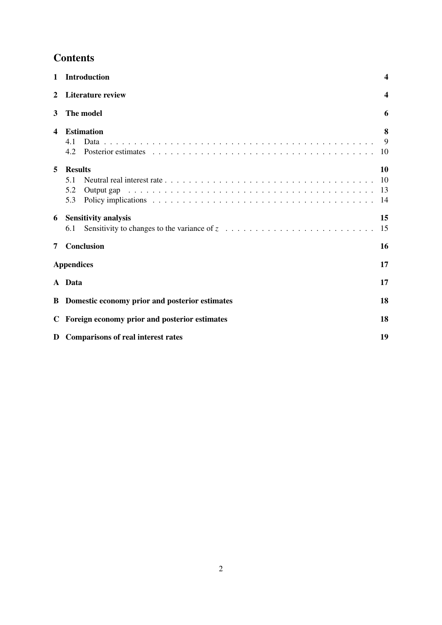# **Contents**

| $\mathbf 1$  | <b>Introduction</b>                                                                                                                                    | $\overline{\mathbf{4}}$ |
|--------------|--------------------------------------------------------------------------------------------------------------------------------------------------------|-------------------------|
| $\mathbf{2}$ | <b>Literature review</b>                                                                                                                               | $\boldsymbol{4}$        |
| 3            | The model                                                                                                                                              | 6                       |
| 4            | <b>Estimation</b><br>4.1<br>4.2                                                                                                                        | 8<br>9<br>10            |
| 5            | <b>Results</b><br>5.1<br>5.2<br>5.3                                                                                                                    | 10<br>10<br>13<br>14    |
| 6            | <b>Sensitivity analysis</b><br>Sensitivity to changes to the variance of $z_1, \ldots, z_1, \ldots, z_1, \ldots, z_1, \ldots, z_1, \ldots, z_n$<br>6.1 | 15<br>15                |
| 7            | Conclusion                                                                                                                                             | 16                      |
|              | <b>Appendices</b>                                                                                                                                      | 17                      |
|              | A Data                                                                                                                                                 | 17                      |
|              | <b>B</b> Domestic economy prior and posterior estimates                                                                                                | 18                      |
|              | C Foreign economy prior and posterior estimates                                                                                                        | 18                      |
|              | D Comparisons of real interest rates                                                                                                                   | 19                      |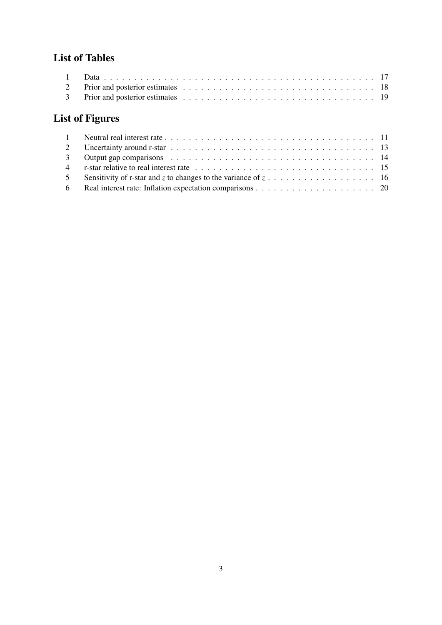# List of Tables

| 2 |                 |  |  |  |  |  |  |  |  |  |  |  |  |  |  |  |
|---|-----------------|--|--|--|--|--|--|--|--|--|--|--|--|--|--|--|
|   |                 |  |  |  |  |  |  |  |  |  |  |  |  |  |  |  |
|   | List of Figures |  |  |  |  |  |  |  |  |  |  |  |  |  |  |  |

| 5 Sensitivity of r-star and z to changes to the variance of $z_1, \ldots, z_n, \ldots, z_n, \ldots, z_n$ |  |
|----------------------------------------------------------------------------------------------------------|--|
|                                                                                                          |  |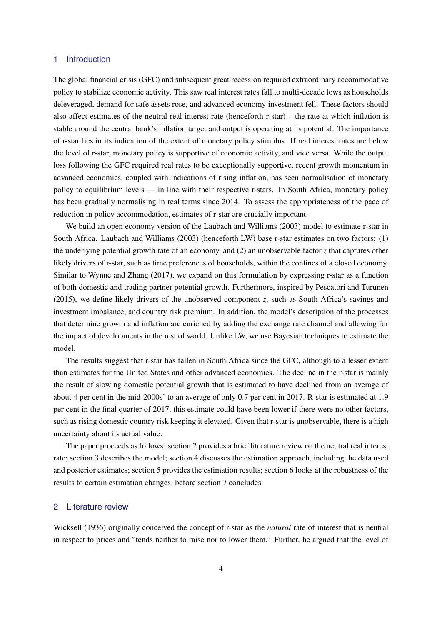#### <span id="page-5-0"></span>1 Introduction

The global financial crisis (GFC) and subsequent great recession required extraordinary accommodative policy to stabilize economic activity. This saw real interest rates fall to multi-decade lows as households deleveraged, demand for safe assets rose, and advanced economy investment fell. These factors should also affect estimates of the neutral real interest rate (henceforth r-star) – the rate at which inflation is stable around the central bank's inflation target and output is operating at its potential. The importance of r-star lies in its indication of the extent of monetary policy stimulus. If real interest rates are below the level of r-star, monetary policy is supportive of economic activity, and vice versa. While the output loss following the GFC required real rates to be exceptionally supportive, recent growth momentum in advanced economies, coupled with indications of rising inflation, has seen normalisation of monetary policy to equilibrium levels — in line with their respective r-stars. In South Africa, monetary policy has been gradually normalising in real terms since 2014. To assess the appropriateness of the pace of reduction in policy accommodation, estimates of r-star are crucially important.

We build an open economy version of the [Laubach and Williams](#page-22-0) [\(2003\)](#page-22-0) model to estimate r-star in South Africa. [Laubach and Williams](#page-22-0) [\(2003\)](#page-22-0) (henceforth LW) base r-star estimates on two factors: (1) the underlying potential growth rate of an economy, and (2) an unobservable factor *z* that captures other likely drivers of r-star, such as time preferences of households, within the confines of a closed economy. Similar to [Wynne and Zhang](#page-23-0) [\(2017\)](#page-23-0), we expand on this formulation by expressing r-star as a function of both domestic and trading partner potential growth. Furthermore, inspired by [Pescatori and Turunen](#page-23-1) [\(2015\)](#page-23-1), we define likely drivers of the unobserved component *z*, such as South Africa's savings and investment imbalance, and country risk premium. In addition, the model's description of the processes that determine growth and inflation are enriched by adding the exchange rate channel and allowing for the impact of developments in the rest of world. Unlike LW, we use Bayesian techniques to estimate the model.

The results suggest that r-star has fallen in South Africa since the GFC, although to a lesser extent than estimates for the United States and other advanced economies. The decline in the r-star is mainly the result of slowing domestic potential growth that is estimated to have declined from an average of about 4 per cent in the mid-2000s' to an average of only 0.7 per cent in 2017. R-star is estimated at 1.9 per cent in the final quarter of 2017, this estimate could have been lower if there were no other factors, such as rising domestic country risk keeping it elevated. Given that r-star is unobservable, there is a high uncertainty about its actual value.

The paper proceeds as follows: section [2](#page-5-1) provides a brief literature review on the neutral real interest rate; section [3](#page-7-0) describes the model; section [4](#page-9-0) discusses the estimation approach, including the data used and posterior estimates; section [5](#page-11-1) provides the estimation results; section [6](#page-16-0) looks at the robustness of the results to certain estimation changes; before section [7](#page-17-0) concludes.

#### <span id="page-5-1"></span>2 Literature review

[Wicksell](#page-23-2) [\(1936\)](#page-23-2) originally conceived the concept of r-star as the *natural* rate of interest that is neutral in respect to prices and "tends neither to raise nor to lower them." Further, he argued that the level of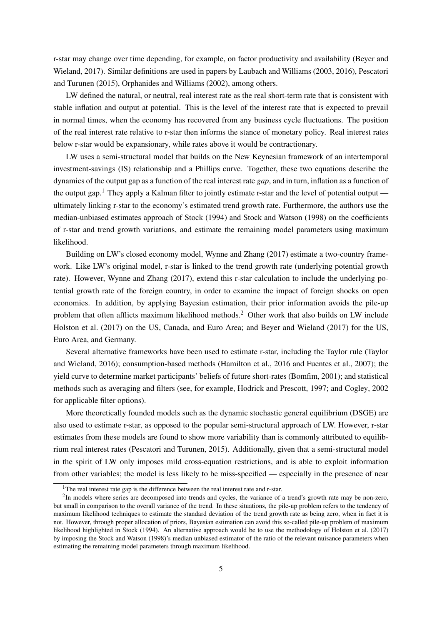r-star may change over time depending, for example, on factor productivity and availability [\(Beyer and](#page-22-1) [Wieland,](#page-22-1) [2017\)](#page-22-1). Similar definitions are used in papers by [Laubach and Williams](#page-22-0) [\(2003,](#page-22-0) [2016\)](#page-23-3), [Pescatori](#page-23-1) [and Turunen](#page-23-1) [\(2015\)](#page-23-1), [Orphanides and Williams](#page-23-4) [\(2002\)](#page-23-4), among others.

LW defined the natural, or neutral, real interest rate as the real short-term rate that is consistent with stable inflation and output at potential. This is the level of the interest rate that is expected to prevail in normal times, when the economy has recovered from any business cycle fluctuations. The position of the real interest rate relative to r-star then informs the stance of monetary policy. Real interest rates below r-star would be expansionary, while rates above it would be contractionary.

LW uses a semi-structural model that builds on the New Keynesian framework of an intertemporal investment-savings (IS) relationship and a Phillips curve. Together, these two equations describe the dynamics of the output gap as a function of the real interest rate *gap*, and in turn, inflation as a function of the output gap.<sup>[1](#page-6-0)</sup> They apply a Kalman filter to jointly estimate r-star and the level of potential output ultimately linking r-star to the economy's estimated trend growth rate. Furthermore, the authors use the median-unbiased estimates approach of [Stock](#page-23-5) [\(1994\)](#page-23-5) and [Stock and Watson](#page-23-6) [\(1998\)](#page-23-6) on the coefficients of r-star and trend growth variations, and estimate the remaining model parameters using maximum likelihood.

Building on LW's closed economy model, [Wynne and Zhang](#page-23-0) [\(2017\)](#page-23-0) estimate a two-country framework. Like LW's original model, r-star is linked to the trend growth rate (underlying potential growth rate). However, [Wynne and Zhang](#page-23-0) [\(2017\)](#page-23-0), extend this r-star calculation to include the underlying potential growth rate of the foreign country, in order to examine the impact of foreign shocks on open economies. In addition, by applying Bayesian estimation, their prior information avoids the pile-up problem that often afflicts maximum likelihood methods.[2](#page-6-1) Other work that also builds on LW include [Holston et al.](#page-22-2) [\(2017\)](#page-22-2) on the US, Canada, and Euro Area; and [Beyer and Wieland](#page-22-1) [\(2017\)](#page-22-1) for the US, Euro Area, and Germany.

Several alternative frameworks have been used to estimate r-star, including the Taylor rule [\(Taylor](#page-23-7) [and Wieland,](#page-23-7) [2016\)](#page-23-7); consumption-based methods [\(Hamilton et al.,](#page-22-3) [2016](#page-22-3) and [Fuentes et al.,](#page-22-4) [2007\)](#page-22-4); the yield curve to determine market participants' beliefs of future short-rates [\(Bomfim,](#page-22-5) [2001\)](#page-22-5); and statistical methods such as averaging and filters (see, for example, [Hodrick and Prescott,](#page-22-6) [1997;](#page-22-6) and [Cogley,](#page-22-7) [2002](#page-22-7) for applicable filter options).

More theoretically founded models such as the dynamic stochastic general equilibrium (DSGE) are also used to estimate r-star, as opposed to the popular semi-structural approach of LW. However, r-star estimates from these models are found to show more variability than is commonly attributed to equilibrium real interest rates [\(Pescatori and Turunen,](#page-23-1) [2015\)](#page-23-1). Additionally, given that a semi-structural model in the spirit of LW only imposes mild cross-equation restrictions, and is able to exploit information from other variables; the model is less likely to be miss-specified — especially in the presence of near

<span id="page-6-1"></span><span id="page-6-0"></span><sup>&</sup>lt;sup>1</sup>The real interest rate gap is the difference between the real interest rate and r-star.

 $2$ In models where series are decomposed into trends and cycles, the variance of a trend's growth rate may be non-zero, but small in comparison to the overall variance of the trend. In these situations, the pile-up problem refers to the tendency of maximum likelihood techniques to estimate the standard deviation of the trend growth rate as being zero, when in fact it is not. However, through proper allocation of priors, Bayesian estimation can avoid this so-called pile-up problem of maximum likelihood highlighted in [Stock](#page-23-5) [\(1994\)](#page-23-5). An alternative approach would be to use the methodology of [Holston et al.](#page-22-2) [\(2017\)](#page-22-2) by imposing the [Stock and Watson](#page-23-6) [\(1998\)](#page-23-6)'s median unbiased estimator of the ratio of the relevant nuisance parameters when estimating the remaining model parameters through maximum likelihood.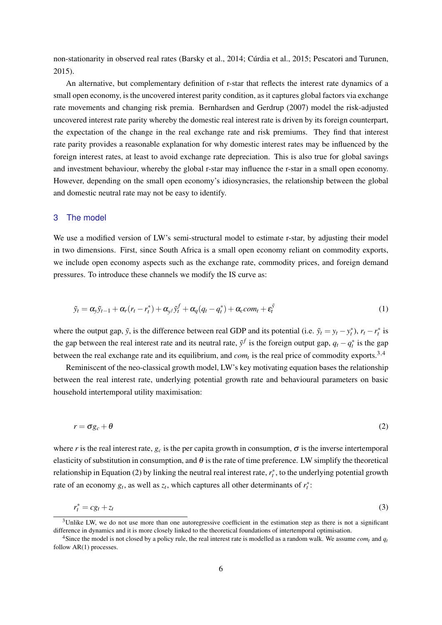non-stationarity in observed real rates [\(Barsky et al.,](#page-22-8) [2014;](#page-22-8) [Cúrdia et al.,](#page-22-9) [2015;](#page-22-9) [Pescatori and Turunen,](#page-23-1) [2015\)](#page-23-1).

An alternative, but complementary definition of r-star that reflects the interest rate dynamics of a small open economy, is the uncovered interest parity condition, as it captures global factors via exchange rate movements and changing risk premia. [Bernhardsen and Gerdrup](#page-22-10) [\(2007\)](#page-22-10) model the risk-adjusted uncovered interest rate parity whereby the domestic real interest rate is driven by its foreign counterpart, the expectation of the change in the real exchange rate and risk premiums. They find that interest rate parity provides a reasonable explanation for why domestic interest rates may be influenced by the foreign interest rates, at least to avoid exchange rate depreciation. This is also true for global savings and investment behaviour, whereby the global r-star may influence the r-star in a small open economy. However, depending on the small open economy's idiosyncrasies, the relationship between the global and domestic neutral rate may not be easy to identify.

#### <span id="page-7-0"></span>3 The model

We use a modified version of LW's semi-structural model to estimate r-star, by adjusting their model in two dimensions. First, since South Africa is a small open economy reliant on commodity exports, we include open economy aspects such as the exchange rate, commodity prices, and foreign demand pressures. To introduce these channels we modify the IS curve as:

<span id="page-7-4"></span>
$$
\tilde{y}_t = \alpha_y \tilde{y}_{t-1} + \alpha_r (r_t - r_t^*) + \alpha_{y^f} \tilde{y}_t^f + \alpha_q (q_t - q_t^*) + \alpha_c com_t + \varepsilon_t^{\tilde{y}}
$$
\n
$$
\tag{1}
$$

where the output gap,  $\tilde{y}$ , is the difference between real GDP and its potential (i.e.  $\tilde{y}_t = y_t - y_t^*$ ),  $r_t - r_t^*$  is the gap between the real interest rate and its neutral rate,  $\tilde{y}^f$  is the foreign output gap,  $q_t - q_t^*$  is the gap between the real exchange rate and its equilibrium, and  $com<sub>t</sub>$  is the real price of commodity exports.<sup>[3](#page-7-1),[4](#page-7-2)</sup>

<span id="page-7-3"></span>Reminiscent of the neo-classical growth model, LW's key motivating equation bases the relationship between the real interest rate, underlying potential growth rate and behavioural parameters on basic household intertemporal utility maximisation:

$$
r = \sigma g_c + \theta \tag{2}
$$

where *r* is the real interest rate,  $g_c$  is the per capita growth in consumption,  $\sigma$  is the inverse intertemporal elasticity of substitution in consumption, and  $\theta$  is the rate of time preference. LW simplify the theoretical relationship in Equation [\(2\)](#page-7-3) by linking the neutral real interest rate,  $r_t^*$ , to the underlying potential growth rate of an economy  $g_t$ , as well as  $z_t$ , which captures all other determinants of  $r_t^*$ :

$$
r_t^* = c g_t + z_t \tag{3}
$$

<span id="page-7-1"></span> $3$ Unlike LW, we do not use more than one autoregressive coefficient in the estimation step as there is not a significant difference in dynamics and it is more closely linked to the theoretical foundations of intertemporal optimisation.

<span id="page-7-2"></span><sup>&</sup>lt;sup>4</sup>Since the model is not closed by a policy rule, the real interest rate is modelled as a random walk. We assume *com*<sup>*t*</sup> and  $q_t$ follow AR(1) processes.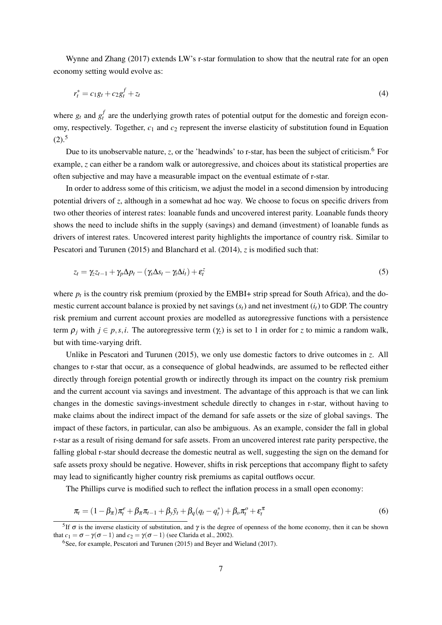[Wynne and Zhang](#page-23-0) [\(2017\)](#page-23-0) extends LW's r-star formulation to show that the neutral rate for an open economy setting would evolve as:

$$
r_t^* = c_1 g_t + c_2 g_t^f + z_t \tag{4}
$$

where  $g_t$  and  $g_t^f$  are the underlying growth rates of potential output for the domestic and foreign economy, respectively. Together, *c*<sup>1</sup> and *c*<sup>2</sup> represent the inverse elasticity of substitution found in Equation  $(2).^{5}$  $(2).^{5}$  $(2).^{5}$  $(2).^{5}$ 

Due to its unobservable nature, *z*, or the 'headwinds' to r-star, has been the subject of criticism.<sup>[6](#page-8-1)</sup> For example, *z* can either be a random walk or autoregressive, and choices about its statistical properties are often subjective and may have a measurable impact on the eventual estimate of r-star.

In order to address some of this criticism, we adjust the model in a second dimension by introducing potential drivers of *z*, although in a somewhat ad hoc way. We choose to focus on specific drivers from two other theories of interest rates: loanable funds and uncovered interest parity. Loanable funds theory shows the need to include shifts in the supply (savings) and demand (investment) of loanable funds as drivers of interest rates. Uncovered interest parity highlights the importance of country risk. Similar to [Pescatori and Turunen](#page-23-1) [\(2015\)](#page-23-1) and [Blanchard et al.](#page-22-11) [\(2014\)](#page-22-11), *z* is modified such that:

$$
z_t = \gamma_z z_{t-1} + \gamma_p \Delta p_t - (\gamma_s \Delta s_t - \gamma_t \Delta i_t) + \varepsilon_t^z
$$
\n<sup>(5)</sup>

where  $p_t$  is the country risk premium (proxied by the EMBI+ strip spread for South Africa), and the domestic current account balance is proxied by net savings (*st*) and net investment (*it*) to GDP. The country risk premium and current account proxies are modelled as autoregressive functions with a persistence term  $\rho_i$  with  $j \in p, s, i$ . The autoregressive term  $(\gamma_i)$  is set to 1 in order for *z* to mimic a random walk, but with time-varying drift.

Unlike in [Pescatori and Turunen](#page-23-1) [\(2015\)](#page-23-1), we only use domestic factors to drive outcomes in *z*. All changes to r-star that occur, as a consequence of global headwinds, are assumed to be reflected either directly through foreign potential growth or indirectly through its impact on the country risk premium and the current account via savings and investment. The advantage of this approach is that we can link changes in the domestic savings-investment schedule directly to changes in r-star, without having to make claims about the indirect impact of the demand for safe assets or the size of global savings. The impact of these factors, in particular, can also be ambiguous. As an example, consider the fall in global r-star as a result of rising demand for safe assets. From an uncovered interest rate parity perspective, the falling global r-star should decrease the domestic neutral as well, suggesting the sign on the demand for safe assets proxy should be negative. However, shifts in risk perceptions that accompany flight to safety may lead to significantly higher country risk premiums as capital outflows occur.

The Phillips curve is modified such to reflect the inflation process in a small open economy:

$$
\pi_t = (1 - \beta_\pi)\pi_t^e + \beta_\pi \pi_{t-1} + \beta_y \tilde{y}_t + \beta_q (q_t - q_t^*) + \beta_o \pi_t^o + \varepsilon_t^\pi
$$
\n
$$
(6)
$$

<span id="page-8-0"></span><sup>&</sup>lt;sup>5</sup>If  $\sigma$  is the inverse elasticity of substitution, and  $\gamma$  is the degree of openness of the home economy, then it can be shown that  $c_1 = \sigma - \gamma(\sigma - 1)$  and  $c_2 = \gamma(\sigma - 1)$  (see [Clarida et al.,](#page-22-12) [2002\)](#page-22-12).

<span id="page-8-1"></span> $6$ See, for example, [Pescatori and Turunen](#page-23-1) [\(2015\)](#page-23-1) and [Beyer and Wieland](#page-22-1) [\(2017\)](#page-22-1).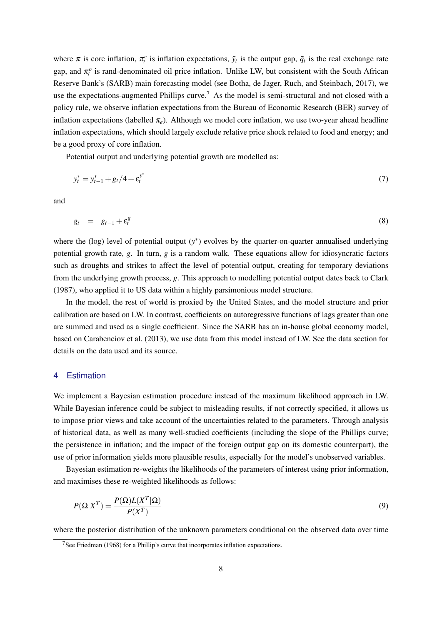where  $\pi$  is core inflation,  $\pi_t^e$  is inflation expectations,  $\tilde{y}_t$  is the output gap,  $\tilde{q}_t$  is the real exchange rate gap, and  $\pi_t^o$  is rand-denominated oil price inflation. Unlike LW, but consistent with the South African Reserve Bank's (SARB) main forecasting model (see [Botha, de Jager, Ruch, and Steinbach,](#page-22-13) [2017\)](#page-22-13), we use the expectations-augmented Phillips curve.<sup>[7](#page-9-1)</sup> As the model is semi-structural and not closed with a policy rule, we observe inflation expectations from the Bureau of Economic Research (BER) survey of inflation expectations (labelled  $\pi_e$ ). Although we model core inflation, we use two-year ahead headline inflation expectations, which should largely exclude relative price shock related to food and energy; and be a good proxy of core inflation.

Potential output and underlying potential growth are modelled as:

$$
y_t^* = y_{t-1}^* + g_t/4 + \varepsilon_t^{y^*} \tag{7}
$$

and

$$
g_t = g_{t-1} + \varepsilon_t^g \tag{8}
$$

where the (log) level of potential output  $(y^*)$  evolves by the quarter-on-quarter annualised underlying potential growth rate, *g*. In turn, *g* is a random walk. These equations allow for idiosyncratic factors such as droughts and strikes to affect the level of potential output, creating for temporary deviations from the underlying growth process, *g*. This approach to modelling potential output dates back to [Clark](#page-22-14) [\(1987\)](#page-22-14), who applied it to US data within a highly parsimonious model structure.

In the model, the rest of world is proxied by the United States, and the model structure and prior calibration are based on LW. In contrast, coefficients on autoregressive functions of lags greater than one are summed and used as a single coefficient. Since the SARB has an in-house global economy model, based on [Carabenciov et al.](#page-22-15) [\(2013\)](#page-22-15), we use data from this model instead of LW. See the data section for details on the data used and its source.

#### <span id="page-9-0"></span>4 Estimation

We implement a Bayesian estimation procedure instead of the maximum likelihood approach in LW. While Bayesian inference could be subject to misleading results, if not correctly specified, it allows us to impose prior views and take account of the uncertainties related to the parameters. Through analysis of historical data, as well as many well-studied coefficients (including the slope of the Phillips curve; the persistence in inflation; and the impact of the foreign output gap on its domestic counterpart), the use of prior information yields more plausible results, especially for the model's unobserved variables.

Bayesian estimation re-weights the likelihoods of the parameters of interest using prior information, and maximises these re-weighted likelihoods as follows:

$$
P(\Omega|X^T) = \frac{P(\Omega)L(X^T|\Omega)}{P(X^T)}
$$
\n(9)

where the posterior distribution of the unknown parameters conditional on the observed data over time

<span id="page-9-1"></span> $\frac{7}{3}$ See [Friedman](#page-22-16) [\(1968\)](#page-22-16) for a Phillip's curve that incorporates inflation expectations.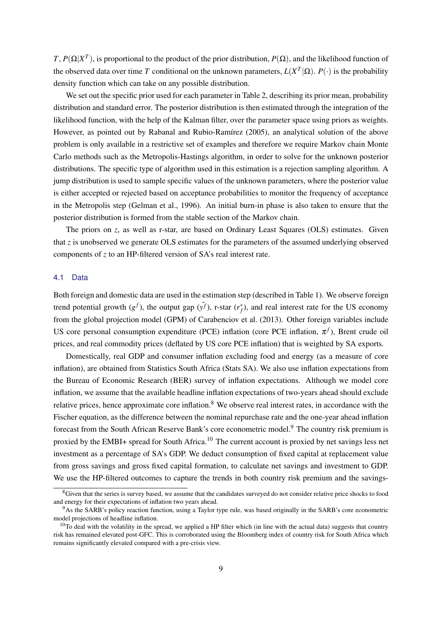*T*,  $P(\Omega|X^T)$ , is proportional to the product of the prior distribution,  $P(\Omega)$ , and the likelihood function of the observed data over time *T* conditional on the unknown parameters,  $L(X^T|\Omega)$ .  $P(\cdot)$  is the probability density function which can take on any possible distribution.

We set out the specific prior used for each parameter in Table [2,](#page-19-1) describing its prior mean, probability distribution and standard error. The posterior distribution is then estimated through the integration of the likelihood function, with the help of the Kalman filter, over the parameter space using priors as weights. However, as pointed out by [Rabanal and Rubio-Ramírez](#page-23-8) [\(2005\)](#page-23-8), an analytical solution of the above problem is only available in a restrictive set of examples and therefore we require Markov chain Monte Carlo methods such as the Metropolis-Hastings algorithm, in order to solve for the unknown posterior distributions. The specific type of algorithm used in this estimation is a rejection sampling algorithm. A jump distribution is used to sample specific values of the unknown parameters, where the posterior value is either accepted or rejected based on acceptance probabilities to monitor the frequency of acceptance in the Metropolis step [\(Gelman et al.,](#page-22-17) [1996\)](#page-22-17). An initial burn-in phase is also taken to ensure that the posterior distribution is formed from the stable section of the Markov chain.

The priors on *z*, as well as r-star, are based on Ordinary Least Squares (OLS) estimates. Given that *z* is unobserved we generate OLS estimates for the parameters of the assumed underlying observed components of *z* to an HP-filtered version of SA's real interest rate.

#### <span id="page-10-0"></span>4.1 Data

Both foreign and domestic data are used in the estimation step (described in Table [1\)](#page-18-3). We observe foreign trend potential growth  $(g^f)$ , the output gap  $(\tilde{y}^f)$ , r-star  $(r_f^*)$ , and real interest rate for the US economy from the global projection model (GPM) of [Carabenciov et al.](#page-22-15) [\(2013\)](#page-22-15). Other foreign variables include US core personal consumption expenditure (PCE) inflation (core PCE inflation,  $\pi^f$ ), Brent crude oil prices, and real commodity prices (deflated by US core PCE inflation) that is weighted by SA exports.

Domestically, real GDP and consumer inflation excluding food and energy (as a measure of core inflation), are obtained from Statistics South Africa (Stats SA). We also use inflation expectations from the Bureau of Economic Research (BER) survey of inflation expectations. Although we model core inflation, we assume that the available headline inflation expectations of two-years ahead should exclude relative prices, hence approximate core inflation.<sup>[8](#page-10-1)</sup> We observe real interest rates, in accordance with the Fischer equation, as the difference between the nominal repurchase rate and the one-year ahead inflation forecast from the South African Reserve Bank's core econometric model.<sup>[9](#page-10-2)</sup> The country risk premium is proxied by the EMBI+ spread for South Africa.[10](#page-10-3) The current account is proxied by net savings less net investment as a percentage of SA's GDP. We deduct consumption of fixed capital at replacement value from gross savings and gross fixed capital formation, to calculate net savings and investment to GDP. We use the HP-filtered outcomes to capture the trends in both country risk premium and the savings-

<span id="page-10-1"></span><sup>&</sup>lt;sup>8</sup>Given that the series is survey based, we assume that the candidates surveyed do not consider relative price shocks to food and energy for their expectations of inflation two years ahead.

<span id="page-10-2"></span><sup>9</sup>As the SARB's policy reaction function, using a Taylor type rule, was based originally in the SARB's core econometric model projections of headline inflation.

<span id="page-10-3"></span> $10$ To deal with the volatility in the spread, we applied a HP filter which (in line with the actual data) suggests that country risk has remained elevated post-GFC. This is corroborated using the Bloomberg index of country risk for South Africa which remains significantly elevated compared with a pre-crisis view.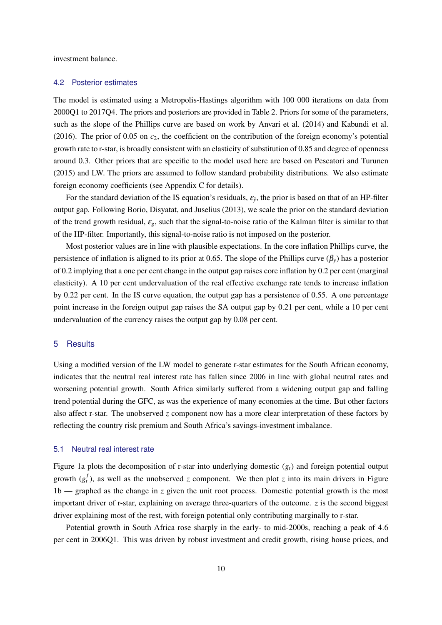<span id="page-11-0"></span>investment balance.

#### 4.2 Posterior estimates

The model is estimated using a Metropolis-Hastings algorithm with 100 000 iterations on data from 2000Q1 to 2017Q4. The priors and posteriors are provided in Table [2.](#page-19-1) Priors for some of the parameters, such as the slope of the Phillips curve are based on work by [Anvari et al.](#page-22-18) [\(2014\)](#page-22-18) and [Kabundi et al.](#page-22-19) [\(2016\)](#page-22-19). The prior of 0.05 on *c*2, the coefficient on the contribution of the foreign economy's potential growth rate to r-star, is broadly consistent with an elasticity of substitution of 0.85 and degree of openness around 0.3. Other priors that are specific to the model used here are based on [Pescatori and Turunen](#page-23-1) [\(2015\)](#page-23-1) and LW. The priors are assumed to follow standard probability distributions. We also estimate foreign economy coefficients (see Appendix C for details).

For the standard deviation of the IS equation's residuals,  $\varepsilon_{\tilde{y}}$ , the prior is based on that of an HP-filter output gap. Following [Borio, Disyatat, and Juselius](#page-22-20) [\(2013\)](#page-22-20), we scale the prior on the standard deviation of the trend growth residual, ε*g*, such that the signal-to-noise ratio of the Kalman filter is similar to that of the HP-filter. Importantly, this signal-to-noise ratio is not imposed on the posterior.

Most posterior values are in line with plausible expectations. In the core inflation Phillips curve, the persistence of inflation is aligned to its prior at 0.65. The slope of the Phillips curve  $(\beta_v)$  has a posterior of 0.2 implying that a one per cent change in the output gap raises core inflation by 0.2 per cent (marginal elasticity). A 10 per cent undervaluation of the real effective exchange rate tends to increase inflation by 0.22 per cent. In the IS curve equation, the output gap has a persistence of 0.55. A one percentage point increase in the foreign output gap raises the SA output gap by 0.21 per cent, while a 10 per cent undervaluation of the currency raises the output gap by 0.08 per cent.

#### <span id="page-11-1"></span>5 Results

Using a modified version of the LW model to generate r-star estimates for the South African economy, indicates that the neutral real interest rate has fallen since 2006 in line with global neutral rates and worsening potential growth. South Africa similarly suffered from a widening output gap and falling trend potential during the GFC, as was the experience of many economies at the time. But other factors also affect r-star. The unobserved *z* component now has a more clear interpretation of these factors by reflecting the country risk premium and South Africa's savings-investment imbalance.

#### <span id="page-11-2"></span>5.1 Neutral real interest rate

Figure [1a](#page-12-0) plots the decomposition of r-star into underlying domestic (*gt*) and foreign potential output growth  $(g_t^f)$ , as well as the unobserved *z* component. We then plot *z* into its main drivers in Figure [1b](#page-12-0) — graphed as the change in *z* given the unit root process. Domestic potential growth is the most important driver of r-star, explaining on average three-quarters of the outcome. *z* is the second biggest driver explaining most of the rest, with foreign potential only contributing marginally to r-star.

Potential growth in South Africa rose sharply in the early- to mid-2000s, reaching a peak of 4.6 per cent in 2006Q1. This was driven by robust investment and credit growth, rising house prices, and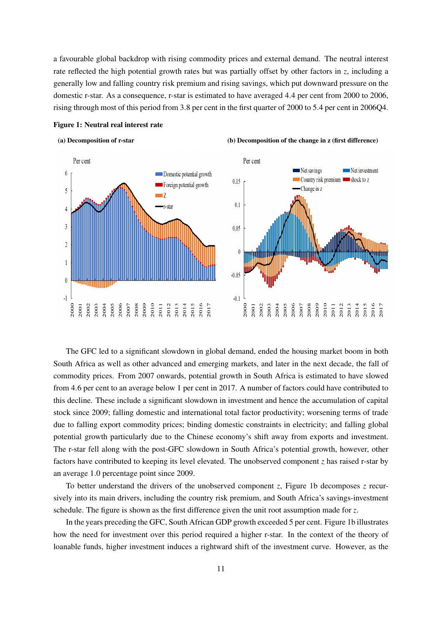a favourable global backdrop with rising commodity prices and external demand. The neutral interest rate reflected the high potential growth rates but was partially offset by other factors in *z*, including a generally low and falling country risk premium and rising savings, which put downward pressure on the domestic r-star. As a consequence, r-star is estimated to have averaged 4.4 per cent from 2000 to 2006, rising through most of this period from 3.8 per cent in the first quarter of 2000 to 5.4 per cent in 2006Q4.



#### <span id="page-12-0"></span>Figure 1: Neutral real interest rate

The GFC led to a significant slowdown in global demand, ended the housing market boom in both South Africa as well as other advanced and emerging markets, and later in the next decade, the fall of commodity prices. From 2007 onwards, potential growth in South Africa is estimated to have slowed from 4.6 per cent to an average below 1 per cent in 2017. A number of factors could have contributed to this decline. These include a significant slowdown in investment and hence the accumulation of capital stock since 2009; falling domestic and international total factor productivity; worsening terms of trade due to falling export commodity prices; binding domestic constraints in electricity; and falling global potential growth particularly due to the Chinese economy's shift away from exports and investment. The r-star fell along with the post-GFC slowdown in South Africa's potential growth, however, other factors have contributed to keeping its level elevated. The unobserved component *z* has raised r-star by an average 1.0 percentage point since 2009.

To better understand the drivers of the unobserved component *z*, Figure [1b](#page-12-0) decomposes *z* recursively into its main drivers, including the country risk premium, and South Africa's savings-investment schedule. The figure is shown as the first difference given the unit root assumption made for *z*.

In the years preceding the GFC, South African GDP growth exceeded 5 per cent. Figure [1b](#page-12-0) illustrates how the need for investment over this period required a higher r-star. In the context of the theory of loanable funds, higher investment induces a rightward shift of the investment curve. However, as the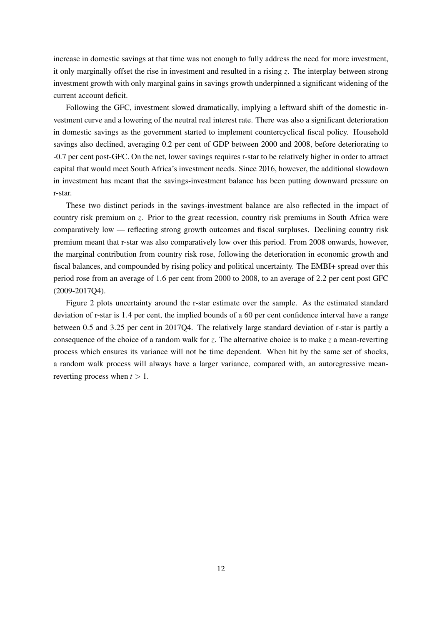increase in domestic savings at that time was not enough to fully address the need for more investment, it only marginally offset the rise in investment and resulted in a rising *z*. The interplay between strong investment growth with only marginal gains in savings growth underpinned a significant widening of the current account deficit.

Following the GFC, investment slowed dramatically, implying a leftward shift of the domestic investment curve and a lowering of the neutral real interest rate. There was also a significant deterioration in domestic savings as the government started to implement countercyclical fiscal policy. Household savings also declined, averaging 0.2 per cent of GDP between 2000 and 2008, before deteriorating to -0.7 per cent post-GFC. On the net, lower savings requires r-star to be relatively higher in order to attract capital that would meet South Africa's investment needs. Since 2016, however, the additional slowdown in investment has meant that the savings-investment balance has been putting downward pressure on r-star.

These two distinct periods in the savings-investment balance are also reflected in the impact of country risk premium on *z*. Prior to the great recession, country risk premiums in South Africa were comparatively low — reflecting strong growth outcomes and fiscal surpluses. Declining country risk premium meant that r-star was also comparatively low over this period. From 2008 onwards, however, the marginal contribution from country risk rose, following the deterioration in economic growth and fiscal balances, and compounded by rising policy and political uncertainty. The EMBI+ spread over this period rose from an average of 1.6 per cent from 2000 to 2008, to an average of 2.2 per cent post GFC (2009-2017Q4).

Figure [2](#page-14-1) plots uncertainty around the r-star estimate over the sample. As the estimated standard deviation of r-star is 1.4 per cent, the implied bounds of a 60 per cent confidence interval have a range between 0.5 and 3.25 per cent in 2017Q4. The relatively large standard deviation of r-star is partly a consequence of the choice of a random walk for *z*. The alternative choice is to make *z* a mean-reverting process which ensures its variance will not be time dependent. When hit by the same set of shocks, a random walk process will always have a larger variance, compared with, an autoregressive meanreverting process when  $t > 1$ .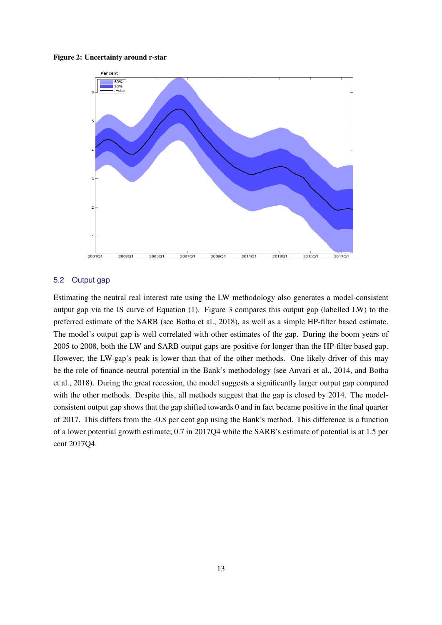#### <span id="page-14-1"></span>Figure 2: Uncertainty around r-star



#### <span id="page-14-0"></span>5.2 Output gap

Estimating the neutral real interest rate using the LW methodology also generates a model-consistent output gap via the IS curve of Equation [\(1\)](#page-7-4). Figure [3](#page-15-1) compares this output gap (labelled LW) to the preferred estimate of the SARB (see [Botha et al.,](#page-22-21) [2018\)](#page-22-21), as well as a simple HP-filter based estimate. The model's output gap is well correlated with other estimates of the gap. During the boom years of 2005 to 2008, both the LW and SARB output gaps are positive for longer than the HP-filter based gap. However, the LW-gap's peak is lower than that of the other methods. One likely driver of this may be the role of finance-neutral potential in the Bank's methodology (see [Anvari et al.,](#page-22-18) [2014,](#page-22-18) and [Botha](#page-22-21) [et al.,](#page-22-21) [2018\)](#page-22-21). During the great recession, the model suggests a significantly larger output gap compared with the other methods. Despite this, all methods suggest that the gap is closed by 2014. The modelconsistent output gap shows that the gap shifted towards 0 and in fact became positive in the final quarter of 2017. This differs from the -0.8 per cent gap using the Bank's method. This difference is a function of a lower potential growth estimate; 0.7 in 2017Q4 while the SARB's estimate of potential is at 1.5 per cent 2017Q4.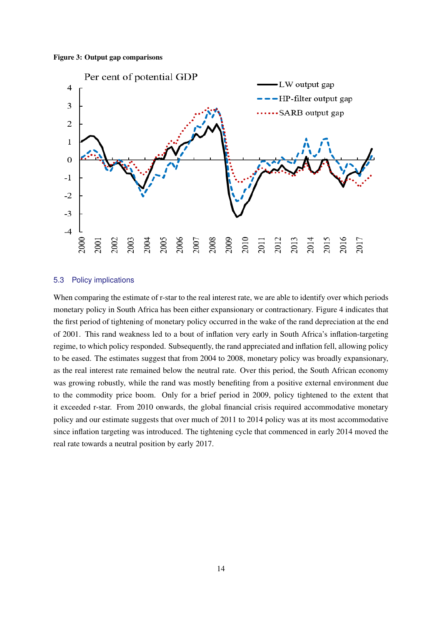#### <span id="page-15-1"></span>Figure 3: Output gap comparisons



#### <span id="page-15-0"></span>5.3 Policy implications

When comparing the estimate of r-star to the real interest rate, we are able to identify over which periods monetary policy in South Africa has been either expansionary or contractionary. Figure [4](#page-16-2) indicates that the first period of tightening of monetary policy occurred in the wake of the rand depreciation at the end of 2001. This rand weakness led to a bout of inflation very early in South Africa's inflation-targeting regime, to which policy responded. Subsequently, the rand appreciated and inflation fell, allowing policy to be eased. The estimates suggest that from 2004 to 2008, monetary policy was broadly expansionary, as the real interest rate remained below the neutral rate. Over this period, the South African economy was growing robustly, while the rand was mostly benefiting from a positive external environment due to the commodity price boom. Only for a brief period in 2009, policy tightened to the extent that it exceeded r-star. From 2010 onwards, the global financial crisis required accommodative monetary policy and our estimate suggests that over much of 2011 to 2014 policy was at its most accommodative since inflation targeting was introduced. The tightening cycle that commenced in early 2014 moved the real rate towards a neutral position by early 2017.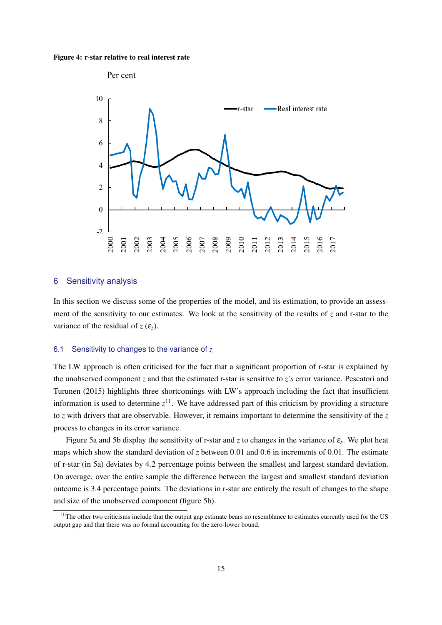<span id="page-16-2"></span>Figure 4: r-star relative to real interest rate



#### <span id="page-16-0"></span>6 Sensitivity analysis

In this section we discuss some of the properties of the model, and its estimation, to provide an assessment of the sensitivity to our estimates. We look at the sensitivity of the results of *z* and r-star to the variance of the residual of  $z(\varepsilon_z)$ .

#### <span id="page-16-1"></span>6.1 Sensitivity to changes to the variance of *z*

The LW approach is often criticised for the fact that a significant proportion of r-star is explained by the unobserved component *z* and that the estimated r-star is sensitive to *z's* error variance. [Pescatori and](#page-23-1) [Turunen](#page-23-1) [\(2015\)](#page-23-1) highlights three shortcomings with LW's approach including the fact that insufficient information is used to determine  $z^{11}$  $z^{11}$  $z^{11}$ . We have addressed part of this criticism by providing a structure to *z* with drivers that are observable. However, it remains important to determine the sensitivity of the *z* process to changes in its error variance.

Figure [5a](#page-17-1) and [5b](#page-17-1) display the sensitivity of r-star and *z* to changes in the variance of  $\varepsilon$ <sub>z</sub>. We plot heat maps which show the standard deviation of *z* between 0.01 and 0.6 in increments of 0.01. The estimate of r-star (in [5a\)](#page-17-1) deviates by 4.2 percentage points between the smallest and largest standard deviation. On average, over the entire sample the difference between the largest and smallest standard deviation outcome is 3.4 percentage points. The deviations in r-star are entirely the result of changes to the shape and size of the unobserved component (figure [5b\)](#page-17-1).

<span id="page-16-3"></span> $11$ The other two criticisms include that the output gap estimate bears no resemblance to estimates currently used for the US output gap and that there was no formal accounting for the zero-lower bound.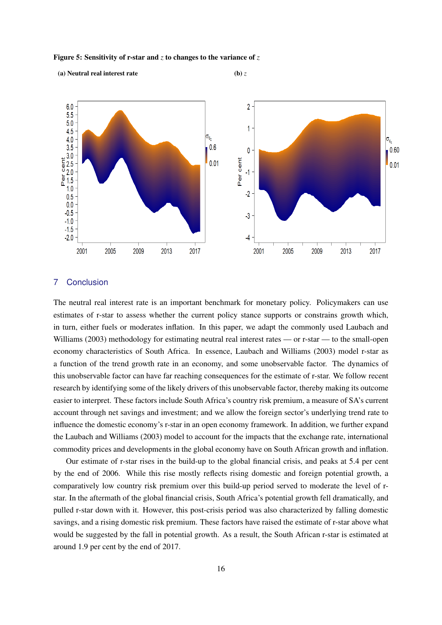<span id="page-17-1"></span>Figure 5: Sensitivity of r-star and *z* to changes to the variance of *z*

(a) Neutral real interest rate (b)  $z$ 



## <span id="page-17-0"></span>7 Conclusion

The neutral real interest rate is an important benchmark for monetary policy. Policymakers can use estimates of r-star to assess whether the current policy stance supports or constrains growth which, in turn, either fuels or moderates inflation. In this paper, we adapt the commonly used [Laubach and](#page-22-0) [Williams](#page-22-0) [\(2003\)](#page-22-0) methodology for estimating neutral real interest rates — or r-star — to the small-open economy characteristics of South Africa. In essence, [Laubach and Williams](#page-22-0) [\(2003\)](#page-22-0) model r-star as a function of the trend growth rate in an economy, and some unobservable factor. The dynamics of this unobservable factor can have far reaching consequences for the estimate of r-star. We follow recent research by identifying some of the likely drivers of this unobservable factor, thereby making its outcome easier to interpret. These factors include South Africa's country risk premium, a measure of SA's current account through net savings and investment; and we allow the foreign sector's underlying trend rate to influence the domestic economy's r-star in an open economy framework. In addition, we further expand the [Laubach and Williams](#page-22-0) [\(2003\)](#page-22-0) model to account for the impacts that the exchange rate, international commodity prices and developments in the global economy have on South African growth and inflation.

Our estimate of r-star rises in the build-up to the global financial crisis, and peaks at 5.4 per cent by the end of 2006. While this rise mostly reflects rising domestic and foreign potential growth, a comparatively low country risk premium over this build-up period served to moderate the level of rstar. In the aftermath of the global financial crisis, South Africa's potential growth fell dramatically, and pulled r-star down with it. However, this post-crisis period was also characterized by falling domestic savings, and a rising domestic risk premium. These factors have raised the estimate of r-star above what would be suggested by the fall in potential growth. As a result, the South African r-star is estimated at around 1.9 per cent by the end of 2017.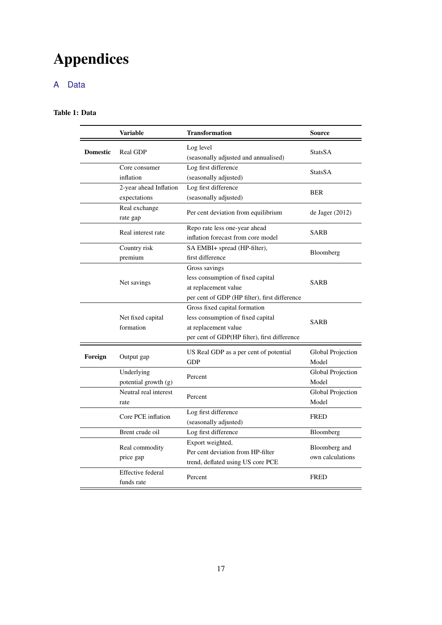# Appendices

# <span id="page-18-1"></span><span id="page-18-0"></span>A Data

## <span id="page-18-3"></span>Table 1: Data

<span id="page-18-2"></span>

|                 | <b>Variable</b>                        | <b>Transformation</b>                                                                                                                      | <b>Source</b>                     |  |  |  |
|-----------------|----------------------------------------|--------------------------------------------------------------------------------------------------------------------------------------------|-----------------------------------|--|--|--|
| <b>Domestic</b> | Real GDP                               | Log level<br>(seasonally adjusted and annualised)                                                                                          | StatsSA                           |  |  |  |
|                 | Core consumer<br>inflation             | Log first difference<br>(seasonally adjusted)                                                                                              | StatsSA                           |  |  |  |
|                 | 2-year ahead Inflation<br>expectations | Log first difference<br>(seasonally adjusted)                                                                                              | <b>BER</b>                        |  |  |  |
|                 | Real exchange<br>rate gap              | Per cent deviation from equilibrium                                                                                                        | de Jager (2012)                   |  |  |  |
|                 | Real interest rate                     | Repo rate less one-year ahead<br>inflation forecast from core model                                                                        | SARB                              |  |  |  |
|                 | Country risk<br>premium                | SA EMBI+ spread (HP-filter),<br>first difference                                                                                           | Bloomberg                         |  |  |  |
|                 | Net savings                            | Gross savings<br>less consumption of fixed capital<br>at replacement value<br>per cent of GDP (HP filter), first difference                | <b>SARB</b>                       |  |  |  |
|                 | Net fixed capital<br>formation         | Gross fixed capital formation<br>less consumption of fixed capital<br>at replacement value<br>per cent of GDP(HP filter), first difference | SARB                              |  |  |  |
| Foreign         | Output gap                             | US Real GDP as a per cent of potential<br><b>GDP</b>                                                                                       | Global Projection<br>Model        |  |  |  |
|                 | Underlying<br>potential growth (g)     | Percent                                                                                                                                    | Global Projection<br>Model        |  |  |  |
|                 | Neutral real interest<br>rate          | Percent                                                                                                                                    |                                   |  |  |  |
|                 | Core PCE inflation                     | Log first difference<br>(seasonally adjusted)                                                                                              | <b>FRED</b>                       |  |  |  |
|                 | Brent crude oil                        | Log first difference                                                                                                                       | Bloomberg                         |  |  |  |
|                 | Real commodity<br>price gap            | Export weighted,<br>Per cent deviation from HP-filter<br>trend, deflated using US core PCE                                                 | Bloomberg and<br>own calculations |  |  |  |
|                 | <b>Effective federal</b><br>funds rate | Percent                                                                                                                                    | <b>FRED</b>                       |  |  |  |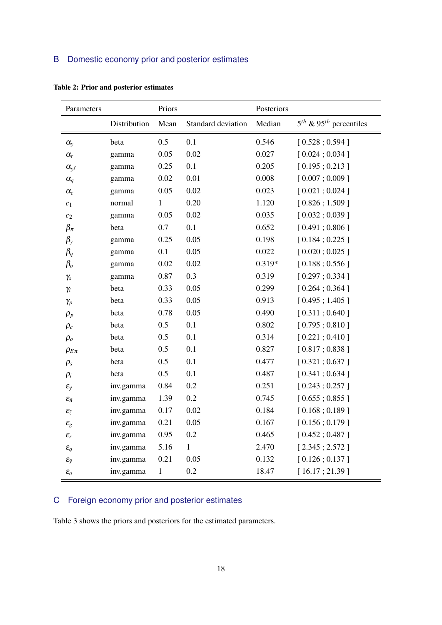## B Domestic economy prior and posterior estimates

| Parameters                                |              | Priors       |                    | Posteriors |                                      |
|-------------------------------------------|--------------|--------------|--------------------|------------|--------------------------------------|
|                                           | Distribution | Mean         | Standard deviation | Median     | $5th$ & 95 <sup>th</sup> percentiles |
| $\alpha_{y}$                              | beta         | 0.5          | 0.1                | 0.546      | [0.528; 0.594]                       |
| $\alpha_r$                                | gamma        | 0.05         | 0.02               | 0.027      | [0.024; 0.034]                       |
| $\alpha_{\mathbf{y}^f}$                   | gamma        | 0.25         | 0.1                | 0.205      | [0.195; 0.213]                       |
| $\alpha_q$                                | gamma        | 0.02         | 0.01               | 0.008      | [0.007; 0.009]                       |
| $\alpha_c$                                | gamma        | 0.05         | 0.02               | 0.023      | [0.021; 0.024]                       |
| $c_1$                                     | normal       | $\mathbf{1}$ | 0.20               | 1.120      | [0.826; 1.509]                       |
| $\mathfrak{c}_2$                          | gamma        | 0.05         | 0.02               | 0.035      | [0.032; 0.039]                       |
| $\beta_{\pi}$                             | beta         | 0.7          | 0.1                | 0.652      | [0.491; 0.806]                       |
| $\beta_{y}$                               | gamma        | 0.25         | 0.05               | 0.198      | [0.184; 0.225]                       |
| $\beta_q$                                 | gamma        | 0.1          | 0.05               | 0.022      | [0.020; 0.025]                       |
| $\beta_o$                                 | gamma        | 0.02         | 0.02               | 0.319*     | [0.188; 0.556]                       |
| $\gamma_s$                                | gamma        | 0.87         | 0.3                | 0.319      | [0.297; 0.334]                       |
| $\gamma_i$                                | beta         | 0.33         | 0.05               | 0.299      | [0.264; 0.364]                       |
| $\gamma_p$                                | beta         | 0.33         | 0.05               | 0.913      | [0.495; 1.405]                       |
| $\rho_p$                                  | beta         | 0.78         | 0.05               | 0.490      | [0.311; 0.640]                       |
| $\rho_c$                                  | beta         | 0.5          | 0.1                | 0.802      | [0.795; 0.810]                       |
| $\rho_o$                                  | beta         | 0.5          | 0.1                | 0.314      | [0.221; 0.410]                       |
| $\rho_{E\pi}$                             | beta         | 0.5          | 0.1                | 0.827      | [0.817; 0.838]                       |
| $\rho_s$                                  | beta         | 0.5          | 0.1                | 0.477      | [0.321; 0.637]                       |
| $\rho_i$                                  | beta         | 0.5          | 0.1                | 0.487      | [0.341; 0.634]                       |
| $\mathcal{E}_{\tilde{y}}$                 | inv.gamma    | 0.84         | 0.2                | 0.251      | [0.243; 0.257]                       |
| $\mathcal{E}_{\tilde{\pi}}$               | inv.gamma    | 1.39         | 0.2                | 0.745      | [0.655; 0.855]                       |
| $\pmb{\mathcal{E}}_{\tilde{\mathcal{Z}}}$ | inv.gamma    | 0.17         | 0.02               | 0.184      | [0.168; 0.189]                       |
| $\varepsilon_g$                           | inv.gamma    | 0.21         | 0.05               | 0.167      | [0.156; 0.179]                       |
| $\varepsilon_r$                           | inv.gamma    | 0.95         | $0.2\,$            | 0.465      | [0.452; 0.487]                       |
| $\varepsilon_q$                           | inv.gamma    | 5.16         | $\mathbf{1}$       | 2.470      | [2.345; 2.572]                       |
| $\mathcal{E}_{\bar{y}}$                   | inv.gamma    | 0.21         | 0.05               | 0.132      | [0.126; 0.137]                       |
| $\mathcal{E}_O$                           | inv.gamma    | $\mathbf{1}$ | 0.2                | 18.47      | [16.17; 21.39]                       |

<span id="page-19-1"></span>Table 2: Prior and posterior estimates

## <span id="page-19-0"></span>C Foreign economy prior and posterior estimates

Table [3](#page-20-1) shows the priors and posteriors for the estimated parameters.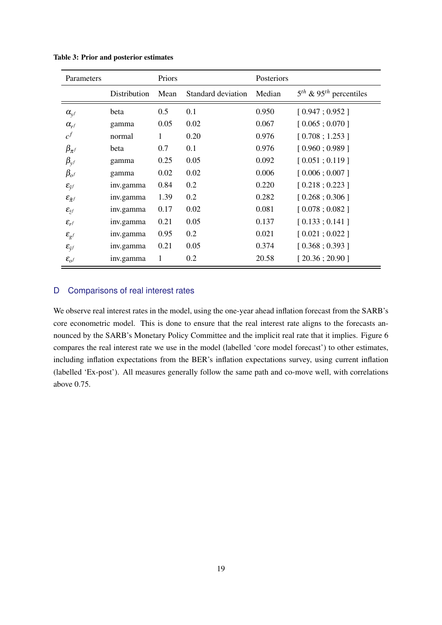| Parameters                           |              | Priors |                    | Posteriors |                                      |
|--------------------------------------|--------------|--------|--------------------|------------|--------------------------------------|
|                                      | Distribution | Mean   | Standard deviation | Median     | $5th$ & 95 <sup>th</sup> percentiles |
| $\alpha_{v}$ f                       | beta         | 0.5    | 0.1                | 0.950      | [0.947; 0.952]                       |
| $\alpha_{r}$                         | gamma        | 0.05   | 0.02               | 0.067      | [0.065; 0.070]                       |
| $c^f$                                | normal       | 1      | 0.20               | 0.976      | [0.708; 1.253]                       |
| $\beta_{\pi^f}$                      | beta         | 0.7    | 0.1                | 0.976      | [0.960; 0.989]                       |
| $\beta_{y}$                          | gamma        | 0.25   | 0.05               | 0.092      | [0.051; 0.119]                       |
| $\beta_{o}$ f                        | gamma        | 0.02   | 0.02               | 0.006      | [0.006; 0.007]                       |
| $\mathcal{E}_{\tilde{\mathbf{y}}^f}$ | inv.gamma    | 0.84   | 0.2                | 0.220      | [0.218; 0.223]                       |
| $\mathcal{E}_{\tilde{\pi}^f}$        | inv.gamma    | 1.39   | 0.2                | 0.282      | [0.268; 0.306]                       |
| $\mathcal{E}_{\tilde{z}^f}$          | inv.gamma    | 0.17   | 0.02               | 0.081      | [0.078; 0.082]                       |
| $\mathcal{E}_{rf}$                   | inv.gamma    | 0.21   | 0.05               | 0.137      | [0.133; 0.141]                       |
| $\pmb{\mathcal{E}}_{g^f}$            | inv.gamma    | 0.95   | 0.2                | 0.021      | [0.021; 0.022]                       |
| $\mathcal{E}_{\bar{y}^f}$            | inv.gamma    | 0.21   | 0.05               | 0.374      | [0.368; 0.393]                       |
| $\mathcal{E}_{o}$ f                  | inv.gamma    | 1      | 0.2                | 20.58      | [20.36; 20.90]                       |

<span id="page-20-1"></span>Table 3: Prior and posterior estimates

## <span id="page-20-0"></span>D Comparisons of real interest rates

We observe real interest rates in the model, using the one-year ahead inflation forecast from the SARB's core econometric model. This is done to ensure that the real interest rate aligns to the forecasts announced by the SARB's Monetary Policy Committee and the implicit real rate that it implies. Figure [6](#page-21-0) compares the real interest rate we use in the model (labelled 'core model forecast') to other estimates, including inflation expectations from the BER's inflation expectations survey, using current inflation (labelled 'Ex-post'). All measures generally follow the same path and co-move well, with correlations above 0.75.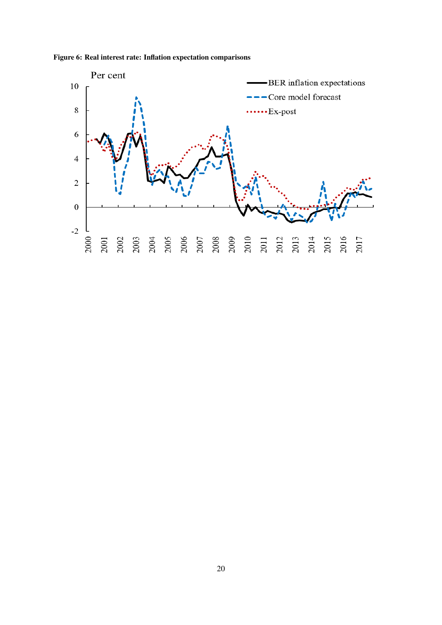

<span id="page-21-0"></span>Figure 6: Real interest rate: Inflation expectation comparisons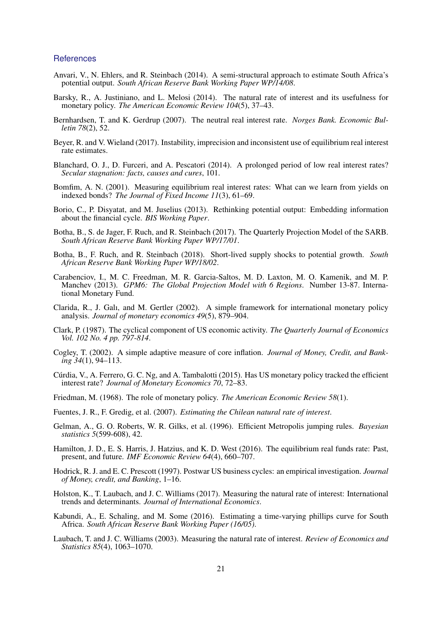#### **References**

- <span id="page-22-18"></span>Anvari, V., N. Ehlers, and R. Steinbach (2014). A semi-structural approach to estimate South Africa's potential output. *South African Reserve Bank Working Paper WP/14/08*.
- <span id="page-22-8"></span>Barsky, R., A. Justiniano, and L. Melosi (2014). The natural rate of interest and its usefulness for monetary policy. *The American Economic Review 104*(5), 37–43.
- <span id="page-22-10"></span>Bernhardsen, T. and K. Gerdrup (2007). The neutral real interest rate. *Norges Bank. Economic Bulletin 78*(2), 52.
- <span id="page-22-1"></span>Beyer, R. and V. Wieland (2017). Instability, imprecision and inconsistent use of equilibrium real interest rate estimates.
- <span id="page-22-11"></span>Blanchard, O. J., D. Furceri, and A. Pescatori (2014). A prolonged period of low real interest rates? *Secular stagnation: facts, causes and cures*, 101.
- <span id="page-22-5"></span>Bomfim, A. N. (2001). Measuring equilibrium real interest rates: What can we learn from yields on indexed bonds? *The Journal of Fixed Income 11*(3), 61–69.
- <span id="page-22-20"></span>Borio, C., P. Disyatat, and M. Juselius (2013). Rethinking potential output: Embedding information about the financial cycle. *BIS Working Paper*.
- <span id="page-22-13"></span>Botha, B., S. de Jager, F. Ruch, and R. Steinbach (2017). The Quarterly Projection Model of the SARB. *South African Reserve Bank Working Paper WP/17/01*.
- <span id="page-22-21"></span>Botha, B., F. Ruch, and R. Steinbach (2018). Short-lived supply shocks to potential growth. *South African Reserve Bank Working Paper WP/18/02*.
- <span id="page-22-15"></span>Carabenciov, I., M. C. Freedman, M. R. Garcia-Saltos, M. D. Laxton, M. O. Kamenik, and M. P. Manchev (2013). *GPM6: The Global Projection Model with 6 Regions*. Number 13-87. International Monetary Fund.
- <span id="page-22-12"></span>Clarida, R., J. Galı, and M. Gertler (2002). A simple framework for international monetary policy analysis. *Journal of monetary economics 49*(5), 879–904.
- <span id="page-22-14"></span>Clark, P. (1987). The cyclical component of US economic activity. *The Quarterly Journal of Economics Vol. 102 No. 4 pp. 797-814*.
- <span id="page-22-7"></span>Cogley, T. (2002). A simple adaptive measure of core inflation. *Journal of Money, Credit, and Banking 34*(1), 94–113.
- <span id="page-22-9"></span>Cúrdia, V., A. Ferrero, G. C. Ng, and A. Tambalotti (2015). Has US monetary policy tracked the efficient interest rate? *Journal of Monetary Economics 70*, 72–83.
- <span id="page-22-16"></span>Friedman, M. (1968). The role of monetary policy. *The American Economic Review 58*(1).
- <span id="page-22-4"></span>Fuentes, J. R., F. Gredig, et al. (2007). *Estimating the Chilean natural rate of interest*.
- <span id="page-22-17"></span>Gelman, A., G. O. Roberts, W. R. Gilks, et al. (1996). Efficient Metropolis jumping rules. *Bayesian statistics 5*(599-608), 42.
- <span id="page-22-3"></span>Hamilton, J. D., E. S. Harris, J. Hatzius, and K. D. West (2016). The equilibrium real funds rate: Past, present, and future. *IMF Economic Review 64*(4), 660–707.
- <span id="page-22-6"></span>Hodrick, R. J. and E. C. Prescott (1997). Postwar US business cycles: an empirical investigation. *Journal of Money, credit, and Banking*, 1–16.
- <span id="page-22-2"></span>Holston, K., T. Laubach, and J. C. Williams (2017). Measuring the natural rate of interest: International trends and determinants. *Journal of International Economics*.
- <span id="page-22-19"></span>Kabundi, A., E. Schaling, and M. Some (2016). Estimating a time-varying phillips curve for South Africa. *South African Reserve Bank Working Paper (16/05)*.
- <span id="page-22-0"></span>Laubach, T. and J. C. Williams (2003). Measuring the natural rate of interest. *Review of Economics and Statistics 85*(4), 1063–1070.